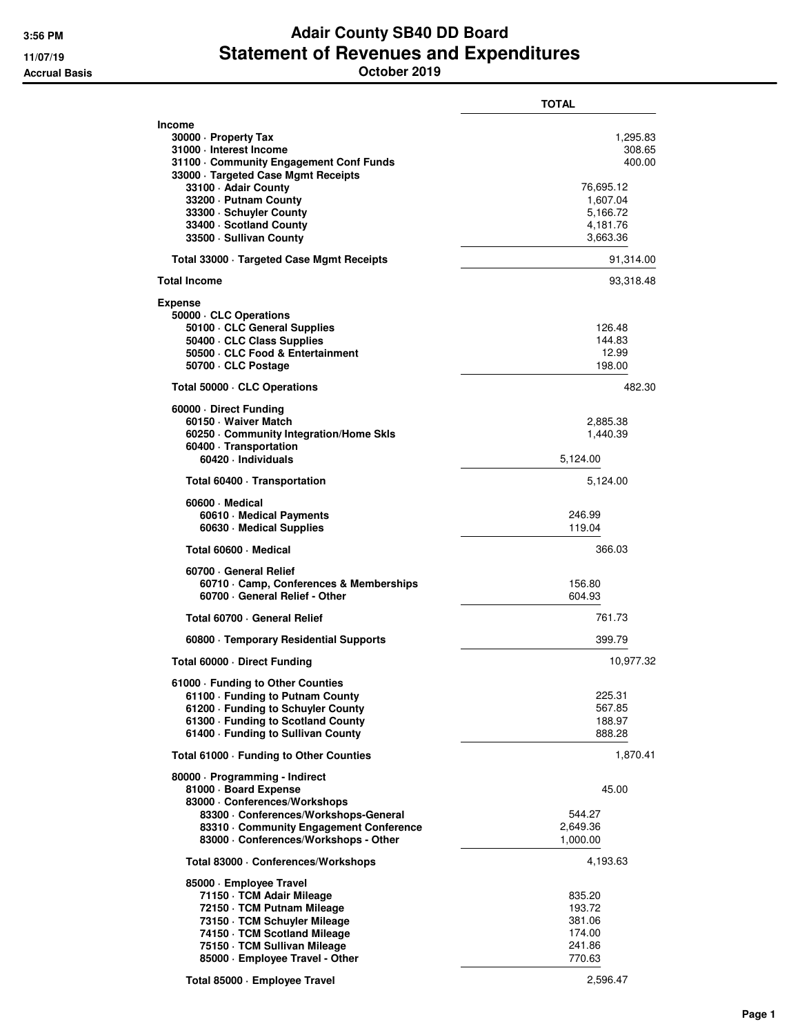## **3:56 PM Adair County SB40 DD Board 11/07/19 Statement of Revenues and Expenditures Accrual Basis October 2019**

|                                                                                                                                                                                                                                                                                      | <b>TOTAL</b>                                                                              |
|--------------------------------------------------------------------------------------------------------------------------------------------------------------------------------------------------------------------------------------------------------------------------------------|-------------------------------------------------------------------------------------------|
| <b>Income</b><br>30000 - Property Tax<br>31000 · Interest Income<br>31100 · Community Engagement Conf Funds<br>33000 · Targeted Case Mgmt Receipts<br>33100 - Adair County<br>33200 · Putnam County<br>33300 · Schuyler County<br>33400 · Scotland County<br>33500 - Sullivan County | 1,295.83<br>308.65<br>400.00<br>76,695.12<br>1,607.04<br>5,166.72<br>4,181.76<br>3,663.36 |
| Total 33000 · Targeted Case Mgmt Receipts                                                                                                                                                                                                                                            | 91,314.00                                                                                 |
| <b>Total Income</b>                                                                                                                                                                                                                                                                  | 93,318.48                                                                                 |
| <b>Expense</b><br>50000 · CLC Operations<br>50100 · CLC General Supplies<br>50400 CLC Class Supplies<br>50500 CLC Food & Entertainment<br>50700 CLC Postage                                                                                                                          | 126.48<br>144.83<br>12.99<br>198.00                                                       |
| Total 50000 CLC Operations                                                                                                                                                                                                                                                           | 482.30                                                                                    |
| 60000 Direct Funding<br>60150 · Waiver Match<br>60250 Community Integration/Home Skls<br>60400 · Transportation<br>60420 · Individuals                                                                                                                                               | 2,885.38<br>1,440.39<br>5.124.00                                                          |
| Total 60400 · Transportation                                                                                                                                                                                                                                                         | 5,124.00                                                                                  |
| 60600 Medical<br>60610 · Medical Payments<br>60630 · Medical Supplies                                                                                                                                                                                                                | 246.99<br>119.04                                                                          |
| Total 60600 · Medical                                                                                                                                                                                                                                                                | 366.03                                                                                    |
| 60700 General Relief<br>60710 Camp, Conferences & Memberships<br>60700 · General Relief - Other                                                                                                                                                                                      | 156.80<br>604.93                                                                          |
| Total 60700 - General Relief                                                                                                                                                                                                                                                         | 761.73                                                                                    |
| 60800 · Temporary Residential Supports                                                                                                                                                                                                                                               | 399.79                                                                                    |
| Total 60000 Direct Funding                                                                                                                                                                                                                                                           | 10,977.32                                                                                 |
| 61000 · Funding to Other Counties<br>61100 - Funding to Putnam County<br>61200 · Funding to Schuyler County<br>61300 · Funding to Scotland County<br>61400 · Funding to Sullivan County                                                                                              | 225.31<br>567.85<br>188.97<br>888.28                                                      |
| Total 61000 - Funding to Other Counties                                                                                                                                                                                                                                              | 1,870.41                                                                                  |
| 80000 · Programming - Indirect<br>81000 · Board Expense<br>83000 · Conferences/Workshops                                                                                                                                                                                             | 45.00                                                                                     |
| 83300 · Conferences/Workshops-General<br>83310 Community Engagement Conference<br>83000 · Conferences/Workshops - Other                                                                                                                                                              | 544.27<br>2,649.36<br>1,000.00                                                            |
| Total 83000 · Conferences/Workshops                                                                                                                                                                                                                                                  | 4,193.63                                                                                  |
| 85000 · Employee Travel<br>71150 · TCM Adair Mileage<br>72150 · TCM Putnam Mileage<br>73150 · TCM Schuyler Mileage<br>74150 · TCM Scotland Mileage<br>75150 · TCM Sullivan Mileage<br>85000 · Employee Travel - Other                                                                | 835.20<br>193.72<br>381.06<br>174.00<br>241.86<br>770.63                                  |

**Total 85000 · Employee Travel** 2,596.47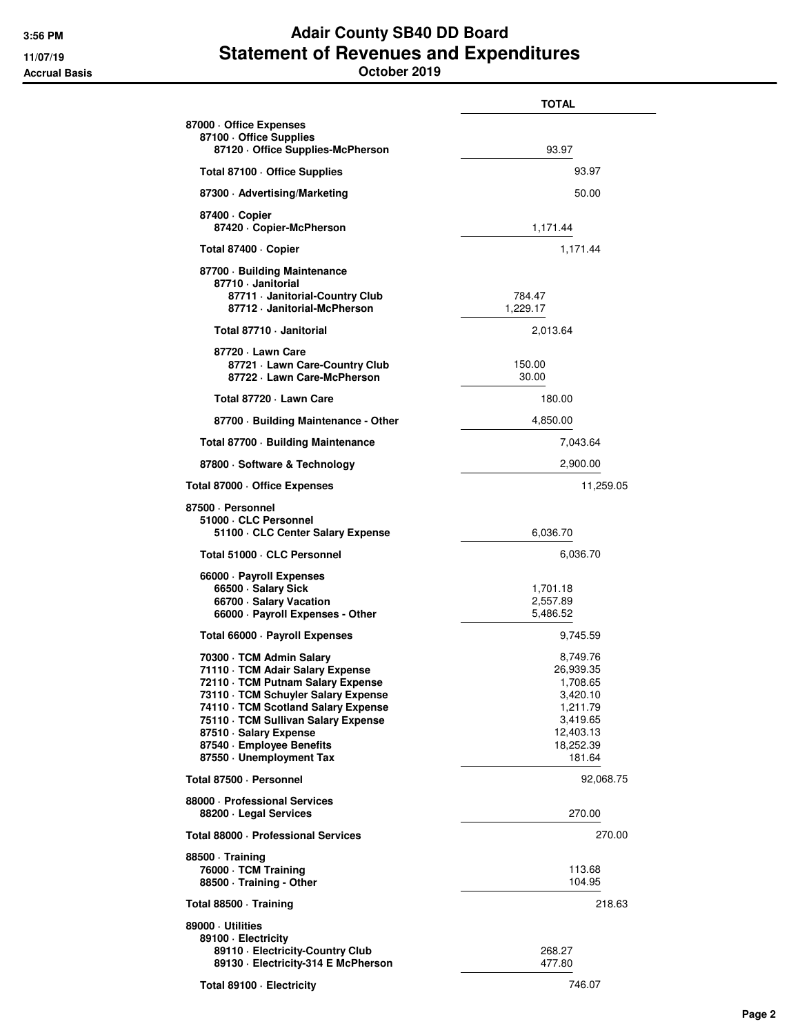## **3:56 PM Adair County SB40 DD Board 11/07/19 Statement of Revenues and Expenditures Accrual Basis October 2019**

|                                                                                                                                                                                                                                                                                                         | TOTAL                                                                                                     |
|---------------------------------------------------------------------------------------------------------------------------------------------------------------------------------------------------------------------------------------------------------------------------------------------------------|-----------------------------------------------------------------------------------------------------------|
| 87000 Office Expenses<br>87100 Office Supplies<br>87120 Office Supplies-McPherson                                                                                                                                                                                                                       | 93.97                                                                                                     |
| Total 87100 · Office Supplies                                                                                                                                                                                                                                                                           | 93.97                                                                                                     |
| 87300 Advertising/Marketing                                                                                                                                                                                                                                                                             | 50.00                                                                                                     |
| 87400 · Copier<br>87420 Copier-McPherson                                                                                                                                                                                                                                                                | 1,171.44                                                                                                  |
| Total 87400 · Copier                                                                                                                                                                                                                                                                                    | 1,171.44                                                                                                  |
| 87700 Building Maintenance<br>87710 · Janitorial<br>87711 · Janitorial-Country Club<br>87712 · Janitorial-McPherson                                                                                                                                                                                     | 784.47<br>1,229.17                                                                                        |
| Total 87710 - Janitorial                                                                                                                                                                                                                                                                                | 2,013.64                                                                                                  |
| 87720 - Lawn Care<br>87721 - Lawn Care-Country Club<br>87722 · Lawn Care-McPherson                                                                                                                                                                                                                      | 150.00<br>30.00                                                                                           |
| Total 87720 - Lawn Care                                                                                                                                                                                                                                                                                 | 180.00                                                                                                    |
| 87700 Building Maintenance - Other                                                                                                                                                                                                                                                                      | 4,850.00                                                                                                  |
| Total 87700 · Building Maintenance                                                                                                                                                                                                                                                                      | 7,043.64                                                                                                  |
| 87800 · Software & Technology                                                                                                                                                                                                                                                                           | 2,900.00                                                                                                  |
| Total 87000 Office Expenses                                                                                                                                                                                                                                                                             | 11,259.05                                                                                                 |
| 87500 · Personnel<br>51000 · CLC Personnel<br>51100 GLC Center Salary Expense                                                                                                                                                                                                                           | 6,036.70                                                                                                  |
| Total 51000 · CLC Personnel                                                                                                                                                                                                                                                                             | 6,036.70                                                                                                  |
| 66000 · Payroll Expenses<br>66500 · Salary Sick<br>66700 · Salary Vacation<br>66000 · Payroll Expenses - Other                                                                                                                                                                                          | 1,701.18<br>2,557.89<br>5,486.52                                                                          |
| Total 66000 · Payroll Expenses                                                                                                                                                                                                                                                                          | 9,745.59                                                                                                  |
| 70300 · TCM Admin Salary<br>71110 · TCM Adair Salary Expense<br>72110 · TCM Putnam Salary Expense<br>73110 · TCM Schuyler Salary Expense<br>74110 · TCM Scotland Salary Expense<br>75110 · TCM Sullivan Salary Expense<br>87510 · Salary Expense<br>87540 · Employee Benefits<br>87550 Unemployment Tax | 8,749.76<br>26,939.35<br>1,708.65<br>3,420.10<br>1,211.79<br>3,419.65<br>12,403.13<br>18,252.39<br>181.64 |
| Total 87500 · Personnel                                                                                                                                                                                                                                                                                 | 92,068.75                                                                                                 |
| 88000 · Professional Services<br>88200 · Legal Services                                                                                                                                                                                                                                                 | 270.00                                                                                                    |
| Total 88000 · Professional Services                                                                                                                                                                                                                                                                     | 270.00                                                                                                    |
| 88500 Training<br>76000 · TCM Training<br>88500 · Training - Other                                                                                                                                                                                                                                      | 113.68<br>104.95                                                                                          |
| Total 88500 Training                                                                                                                                                                                                                                                                                    | 218.63                                                                                                    |
| 89000 · Utilities<br>89100 - Electricity<br>89110 - Electricity-Country Club<br>89130 · Electricity-314 E McPherson                                                                                                                                                                                     | 268.27<br>477.80                                                                                          |
| Total 89100 · Electricity                                                                                                                                                                                                                                                                               | 746.07                                                                                                    |